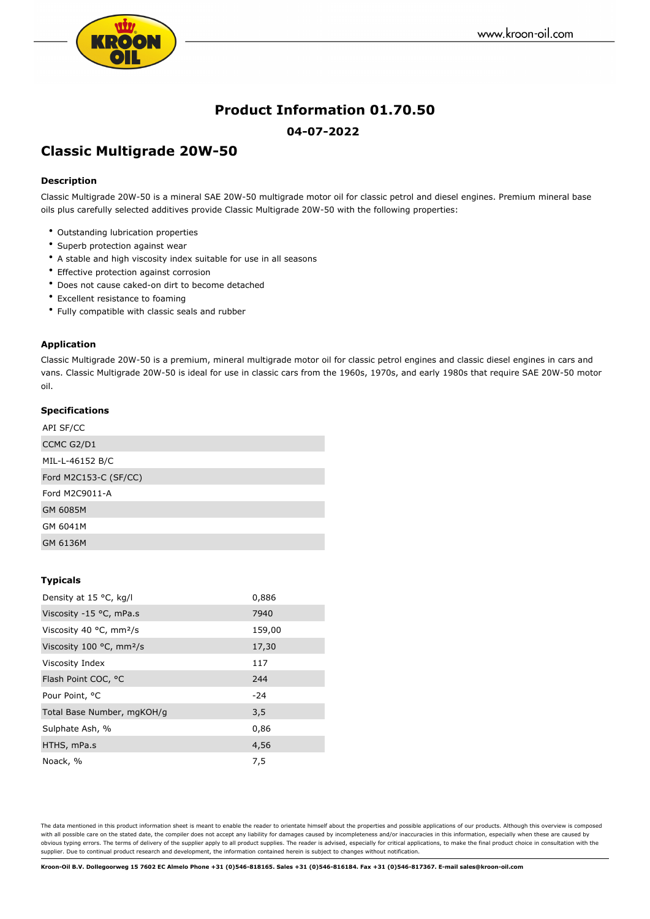

## **Product Information 01.70.50 04-07-2022**

# **Classic Multigrade 20W-50**

## **Description**

Classic Multigrade 20W-50 is a mineral SAE 20W-50 multigrade motor oil for classic petrol and diesel engines. Premium mineral base oils plus carefully selected additives provide Classic Multigrade 20W-50 with the following properties:

- Outstanding lubrication properties
- Superb protection against wear
- A stable and high viscosity index suitable for use in all seasons
- Effective protection against corrosion
- Does not cause caked-on dirt to become detached
- Excellent resistance to foaming
- Fully compatible with classic seals and rubber

#### **Application**

Classic Multigrade 20W-50 is a premium, mineral multigrade motor oil for classic petrol engines and classic diesel engines in cars and vans. Classic Multigrade 20W-50 is ideal for use in classic cars from the 1960s, 1970s, and early 1980s that require SAE 20W-50 motor oil.

## **Specifications**

| API SF/CC             |  |
|-----------------------|--|
| CCMC G2/D1            |  |
| MIL-L-46152 B/C       |  |
| Ford M2C153-C (SF/CC) |  |
| Ford M2C9011-A        |  |
| GM 6085M              |  |
| GM 6041M              |  |
| GM 6136M              |  |

#### **Typicals**

| Density at 15 °C, kg/l                        | 0,886  |
|-----------------------------------------------|--------|
| Viscosity -15 °C, mPa.s                       | 7940   |
| Viscosity 40 $^{\circ}$ C, mm <sup>2</sup> /s | 159,00 |
| Viscosity 100 $\degree$ C, mm <sup>2</sup> /s | 17,30  |
| Viscosity Index                               | 117    |
| Flash Point COC, °C                           | 244    |
| Pour Point, <sup>o</sup> C                    | $-24$  |
| Total Base Number, mgKOH/g                    | 3,5    |
| Sulphate Ash, %                               | 0,86   |
| HTHS, mPa.s                                   | 4,56   |
| Noack, %                                      | 7,5    |

The data mentioned in this product information sheet is meant to enable the reader to orientate himself about the properties and possible applications of our products. Although this overview is composed with all possible care on the stated date, the compiler does not accept any liability for damages caused by incompleteness and/or inaccuracies in this information, especially when these are caused by obvious typing errors. The terms of delivery of the supplier apply to all product supplies. The reader is advised, especially for critical applications, to make the final product choice in consultation with the supplier. Due to continual product research and development, the information contained herein is subject to changes without notification.